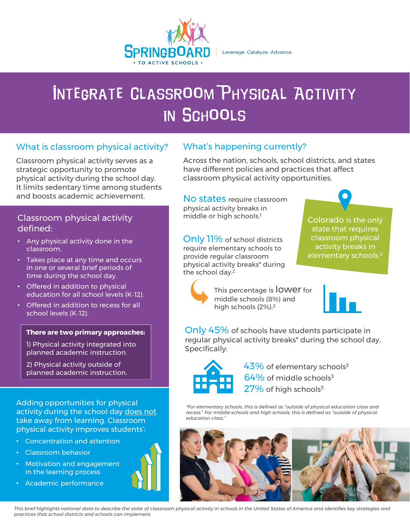

Leverage. Catalyze. Advance.

# **INTEGRATE CLASSROOM PHYSICAL ACTIVITY IN SCHOOLS**

### What is classroom physical activity?

 physical activity during the school day. It limits sedentary time among students Classroom physical activity serves as a strategic opportunity to promote and boosts academic achievement.

### Classroom physical activity defined:

- Any physical activity done in the classroom.
- Takes place at any time and occurs in one or several brief periods of time during the school day.
- education for all school levels (K-12). • Offered in addition to physical
- school levels (K-12). • Offered in addition to recess for all

### **There are two primary approaches:**

1) Physical activity integrated into planned academic instruction.

2) Physical activity outside of planned academic instruction.

activity during the school day <u>does not</u> physical activity improves students': Adding opportunities for physical take away from learning. Classroom

- Concentration and attention
- Classroom behavior
- • Motivation and engagement in the learning process
- Academic performance

### What's happening currently?

 Across the nation, schools, school districts, and states have different policies and practices that affect classroom physical activity opportunities.

 No states require classroom physical activity breaks in middle or high schools.<sup>1</sup>

 Only 11% of school districts require elementary schools to provide regular classroom physical activity breaks\* during the school day.2

 state that requires activity breaks in Colorado is the only classroom physical elementary schools.2

This percentage is lower for middle schools (8%) and high schools (2%).2

Only 45% of schools have students participate in regular physical activity breaks\* during the school day. Specifically:



 $64\%$  of middle schools<sup>3</sup>  $43\%$  of elementary schools<sup>3</sup>  $27\%$  of high schools<sup>3</sup>

 *\*For elementary schools, this is defined as "outside of physical education class and recess." For middle schools and high schools, this is defined as "outside of physical education class."*



 *This brief highlights national data to describe the state of classroom physical activity in schools in the United States of America and identifies key strategies and practices that school districts and schools can implement.*